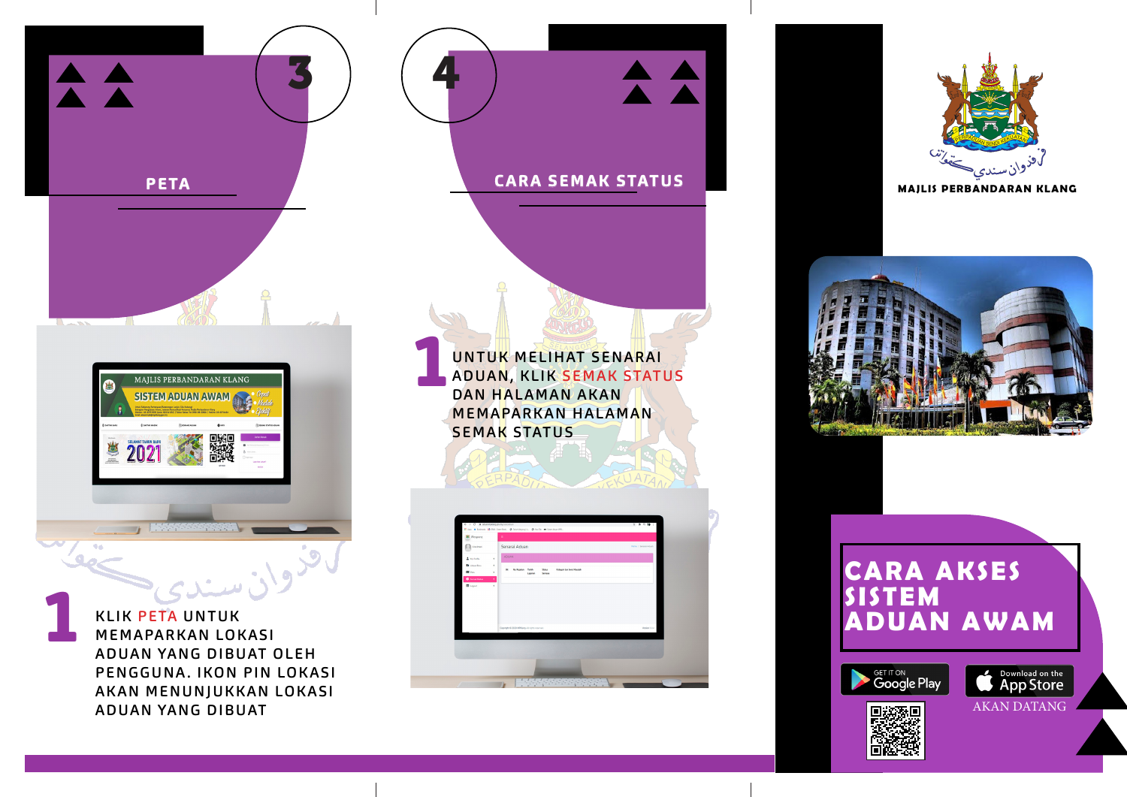

ADUAN YANG DIBUAT OLEH PENGGUNA. IKON PIN LOKASI AKAN MENUNJUKKAN LOKASI ADUAN YANG DIBUAT

UNTUK MELIHAT SENARAI<br>ADUAN, KLIK SEMAK STATI<br>DAN HALAMAN AKAN ADUAN, KLIK SEMAK STATUS DAN HALAMAN AKAN MEMAPARKAN HALAMAN **SEMAK STATUS** 

 $A$